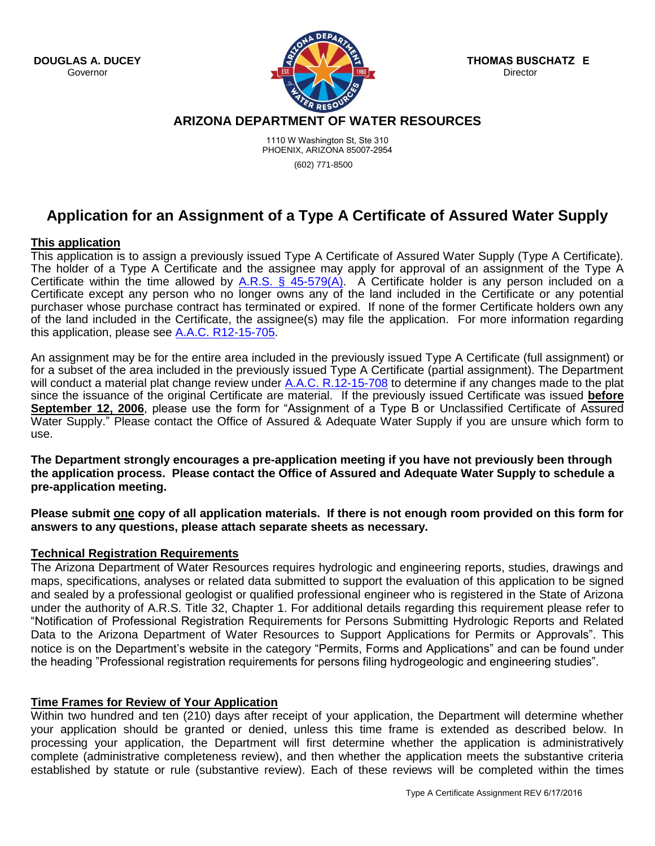

**THOMAS BUSCHATZKE Director** 

**ARIZONA DEPARTMENT OF WATER RESOURCES** 

1110 W Washington St, Ste 310 PHOENIX, ARIZONA 85007-2954

(602) 771-8500

# **Application for an Assignment of a Type A Certificate of Assured Water Supply**

### **This application**

This application is to assign a previously issued Type A Certificate of Assured Water Supply (Type A Certificate). The holder of a Type A Certificate and the assignee may apply for approval of an assignment of the Type A Certificate within the time allowed by  $\underline{A.R.S. S}$  45-579(A). A Certificate holder is any person included on a Certificate except any person who no longer owns any of the land included in the Certificate or any potential purchaser whose purchase contract has terminated or expired. If none of the former Certificate holders own any of the land included in the Certificate, the assignee(s) may file the application. For more information regarding this application, please see [A.A.C. R12-15-705.](http://www.azsos.gov/public_services/Title_12/12-15.htm)

An assignment may be for the entire area included in the previously issued Type A Certificate (full assignment) or for a subset of the area included in the previously issued Type A Certificate (partial assignment). The Department will conduct a material plat change review under [A.A.C. R.12-15-708](http://www.azsos.gov/public_services/Title_12/12-15.htm) to determine if any changes made to the plat since the issuance of the original Certificate are material. If the previously issued Certificate was issued **before September 12, 2006**, please use the form for "Assignment of a Type B or Unclassified Certificate of Assured Water Supply." Please contact the Office of Assured & Adequate Water Supply if you are unsure which form to use.

**The Department strongly encourages a pre-application meeting if you have not previously been through the application process. Please contact the Office of Assured and Adequate Water Supply to schedule a pre-application meeting.** 

**Please submit one copy of all application materials. If there is not enough room provided on this form for answers to any questions, please attach separate sheets as necessary.** 

## **Technical Registration Requirements**

The Arizona Department of Water Resources requires hydrologic and engineering reports, studies, drawings and maps, specifications, analyses or related data submitted to support the evaluation of this application to be signed and sealed by a professional geologist or qualified professional engineer who is registered in the State of Arizona under the authority of A.R.S. Title 32, Chapter 1. For additional details regarding this requirement please refer to "Notification of Professional Registration Requirements for Persons Submitting Hydrologic Reports and Related Data to the Arizona Department of Water Resources to Support Applications for Permits or Approvals". This notice is on the Department's website in the category "Permits, Forms and Applications" and can be found under the heading "Professional registration requirements for persons filing hydrogeologic and engineering studies".

## **Time Frames for Review of Your Application**

Within two hundred and ten (210) days after receipt of your application, the Department will determine whether your application should be granted or denied, unless this time frame is extended as described below. In processing your application, the Department will first determine whether the application is administratively complete (administrative completeness review), and then whether the application meets the substantive criteria established by statute or rule (substantive review). Each of these reviews will be completed within the times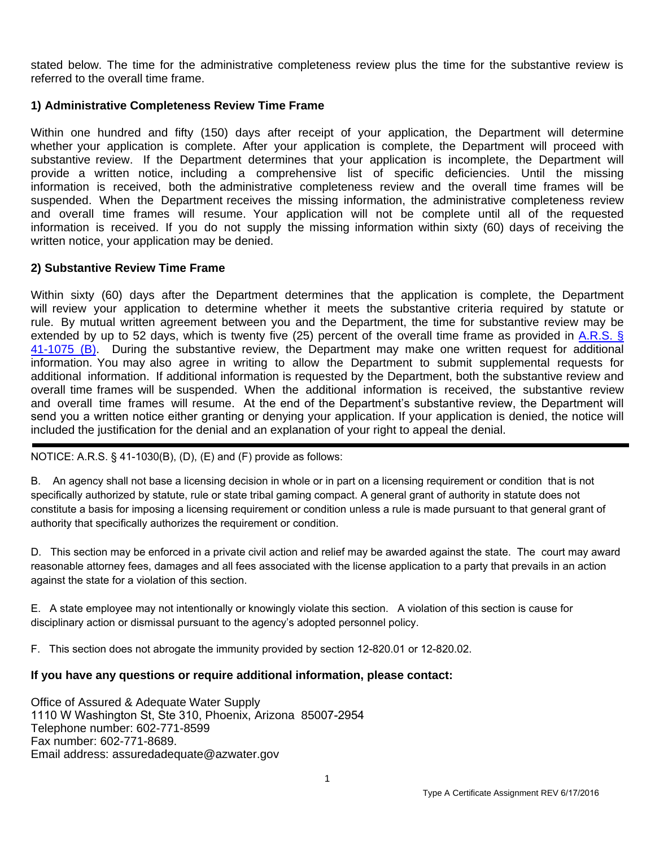stated below. The time for the administrative completeness review plus the time for the substantive review is referred to the overall time frame.

### **1) Administrative Completeness Review Time Frame**

Within one hundred and fifty (150) days after receipt of your application, the Department will determine whether your application is complete. After your application is complete, the Department will proceed with substantive review. If the Department determines that your application is incomplete, the Department will provide a written notice, including a comprehensive list of specific deficiencies. Until the missing information is received, both the administrative completeness review and the overall time frames will be suspended. When the Department receives the missing information, the administrative completeness review and overall time frames will resume. Your application will not be complete until all of the requested information is received. If you do not supply the missing information within sixty (60) days of receiving the written notice, your application may be denied.

### **2) Substantive Review Time Frame**

Within sixty (60) days after the Department determines that the application is complete, the Department will review your application to determine whether it meets the substantive criteria required by statute or rule. By mutual written agreement between you and the Department, the time for substantive review may be [extended by up to 52 days, which is twenty five \(25\) percent of the overall time frame as provided in A.R.S. §](http://www.azleg.gov/ArizonaRevisedStatutes.asp?Title=41) 41-1075 (B). During the substantive review, the Department may make one written request for additional information. You may also agree in writing to allow the Department to submit supplemental requests for additional information. If additional information is requested by the Department, both the substantive review and overall time frames will be suspended. When the additional information is received, the substantive review and overall time frames will resume. At the end of the Department's substantive review, the Department will send you a written notice either granting or denying your application. If your application is denied, the notice will included the justification for the denial and an explanation of your right to appeal the denial.

### NOTICE: A.R.S. § 41-1030(B), (D), (E) and (F) provide as follows:

B. An agency shall not base a licensing decision in whole or in part on a licensing requirement or condition that is not specifically authorized by statute, rule or state tribal gaming compact. A general grant of authority in statute does not constitute a basis for imposing a licensing requirement or condition unless a rule is made pursuant to that general grant of authority that specifically authorizes the requirement or condition.

D. This section may be enforced in a private civil action and relief may be awarded against the state. The court may award reasonable attorney fees, damages and all fees associated with the license application to a party that prevails in an action against the state for a violation of this section.

E. A state employee may not intentionally or knowingly violate this section. A violation of this section is cause for disciplinary action or dismissal pursuant to the agency's adopted personnel policy.

F. This section does not abrogate the immunity provided by section 12-820.01 or 12-820.02.

### **If you have any questions or require additional information, please contact:**

Office of Assured & Adequate Water Supply 1110 W Washington St, Ste 310, Phoenix, Arizona 85007-2954 Telephone number: 602-771-8599 Fax number: 602-771-8689. Email address: assuredadequate@azwater.gov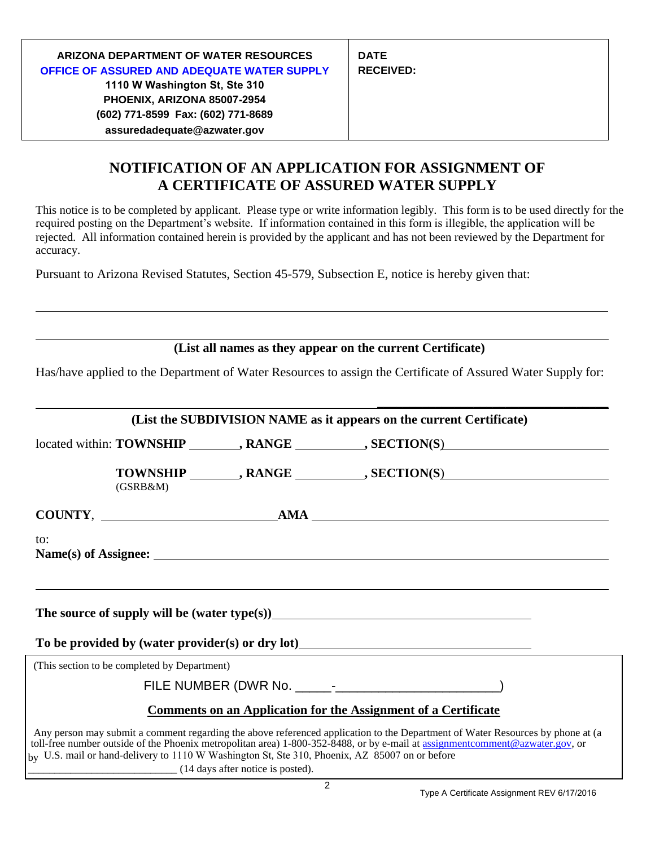| ARIZONA DEPARTMENT OF WATER RESOURCES<br>OFFICE OF ASSURED AND ADEQUATE WATER SUPPLY<br>1110 W Washington St, Ste 310<br>PHOENIX, ARIZONA 85007-2954<br>(602) 771-8599 Fax: (602) 771-8689<br>assuredadequate@azwater.gov | <b>DATE</b><br><b>RECEIVED:</b> |
|---------------------------------------------------------------------------------------------------------------------------------------------------------------------------------------------------------------------------|---------------------------------|
|---------------------------------------------------------------------------------------------------------------------------------------------------------------------------------------------------------------------------|---------------------------------|

## **NOTIFICATION OF AN APPLICATION FOR ASSIGNMENT OF A CERTIFICATE OF ASSURED WATER SUPPLY**

This notice is to be completed by applicant. Please type or write information legibly. This form is to be used directly for the required posting on the Department's website. If information contained in this form is illegible, the application will be rejected. All information contained herein is provided by the applicant and has not been reviewed by the Department for accuracy.

Pursuant to Arizona Revised Statutes, Section 45-579, Subsection E, notice is hereby given that:

**(List all names as they appear on the current Certificate)**

Has/have applied to the Department of Water Resources to assign the Certificate of Assured Water Supply for:

|                 |                                              |                                                                                                | (List the SUBDIVISION NAME as it appears on the current Certificate)                                                                                                                                                           |  |
|-----------------|----------------------------------------------|------------------------------------------------------------------------------------------------|--------------------------------------------------------------------------------------------------------------------------------------------------------------------------------------------------------------------------------|--|
|                 |                                              |                                                                                                | located within: TOWNSHIP ________, RANGE __________, SECTION(S)                                                                                                                                                                |  |
|                 | (GSRB&M)                                     |                                                                                                | TOWNSHIP ________, RANGE __________, SECTION(S)                                                                                                                                                                                |  |
| $COUNTY,$ $AMA$ |                                              |                                                                                                |                                                                                                                                                                                                                                |  |
| to:             |                                              |                                                                                                |                                                                                                                                                                                                                                |  |
|                 |                                              |                                                                                                | The source of supply will be (water type(s))<br><u>Letting</u> the source of supply will be (water type(s))                                                                                                                    |  |
|                 |                                              |                                                                                                | To be provided by (water provider(s) or dry lot)<br><u>Letting the subset of the provider</u>                                                                                                                                  |  |
|                 | (This section to be completed by Department) |                                                                                                |                                                                                                                                                                                                                                |  |
|                 |                                              |                                                                                                |                                                                                                                                                                                                                                |  |
|                 |                                              |                                                                                                | <b>Comments on an Application for the Assignment of a Certificate</b>                                                                                                                                                          |  |
|                 |                                              | by U.S. mail or hand-delivery to 1110 W Washington St, Ste 310, Phoenix, AZ 85007 on or before | Any person may submit a comment regarding the above referenced application to the Department of Water Resources by phone at (a toll-free number outside of the Phoenix metropolitan area) 1-800-352-8488, or by e-mail at assi |  |

\_\_\_\_\_\_\_\_\_\_\_\_\_\_\_\_\_\_\_\_\_\_\_\_\_\_\_\_ (14 days after notice is posted).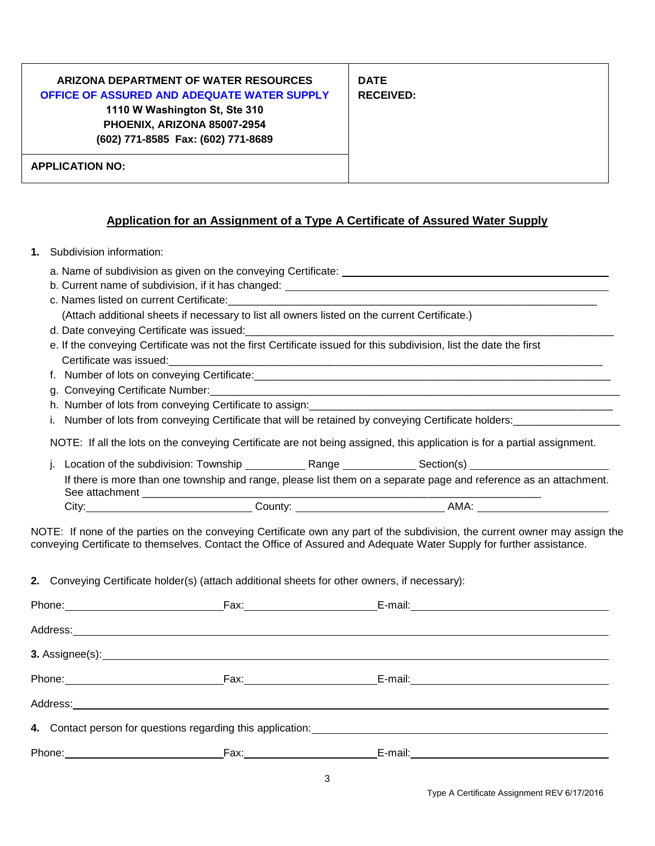| PHOENIX, ARIZONA 85007-2954        | <b>DATE</b>      |
|------------------------------------|------------------|
| (602) 771-8585 Fax: (602) 771-8689 | <b>RECEIVED:</b> |
| <b>APPLICATION NO:</b>             |                  |

### **Application for an Assignment of a Type A Certificate of Assured Water Supply**

- **1.** Subdivision information:
	- a. Name of subdivision as given on the conveying Certificate:
	- b. Current name of subdivision, if it has changed: **contract the contract of the contract of subdivision**
	- c. Names listed on current Certificate: (Attach additional sheets if necessary to list all owners listed on the current Certificate.)
	- d. Date conveying Certificate was issued:
	- e. If the conveying Certificate was not the first Certificate issued for this subdivision, list the date the first Certificate was issued:
	- f. Number of lots on conveying Certificate:\_\_\_\_\_\_\_\_\_\_\_\_\_\_\_\_\_\_\_\_\_\_\_\_\_\_\_\_\_\_\_\_\_\_\_\_\_\_\_\_\_\_\_\_\_\_\_\_\_\_\_\_\_\_\_\_\_\_\_\_
	- g. Conveying Certificate Number:\_\_\_\_\_\_\_\_\_\_\_\_\_\_\_\_\_\_\_\_\_\_\_\_\_\_\_\_\_\_\_\_\_\_\_\_\_\_\_\_\_\_\_\_\_\_\_\_\_\_\_\_\_\_\_\_\_\_\_\_\_\_\_\_\_\_\_\_\_
	- h. Number of lots from conveying Certificate to assign: \_\_\_\_\_\_\_\_\_\_\_\_\_\_\_\_\_\_\_\_\_\_\_\_\_
	- i. Number of lots from conveying Certificate that will be retained by conveying Certificate holders:

NOTE: If all the lots on the conveying Certificate are not being assigned, this application is for a partial assignment.

|                                                                                                                                     |       | Location of the subdivision: Township | Range | Section(s) |  |
|-------------------------------------------------------------------------------------------------------------------------------------|-------|---------------------------------------|-------|------------|--|
| If there is more than one township and range, please list them on a separate page and reference as an attachment.<br>See attachment |       |                                       |       |            |  |
|                                                                                                                                     | City: | County:                               |       | AMA:       |  |

NOTE: If none of the parties on the conveying Certificate own any part of the subdivision, the current owner may assign the conveying Certificate to themselves. Contact the Office of Assured and Adequate Water Supply for further assistance.

**2.** Conveying Certificate holder(s) (attach additional sheets for other owners, if necessary):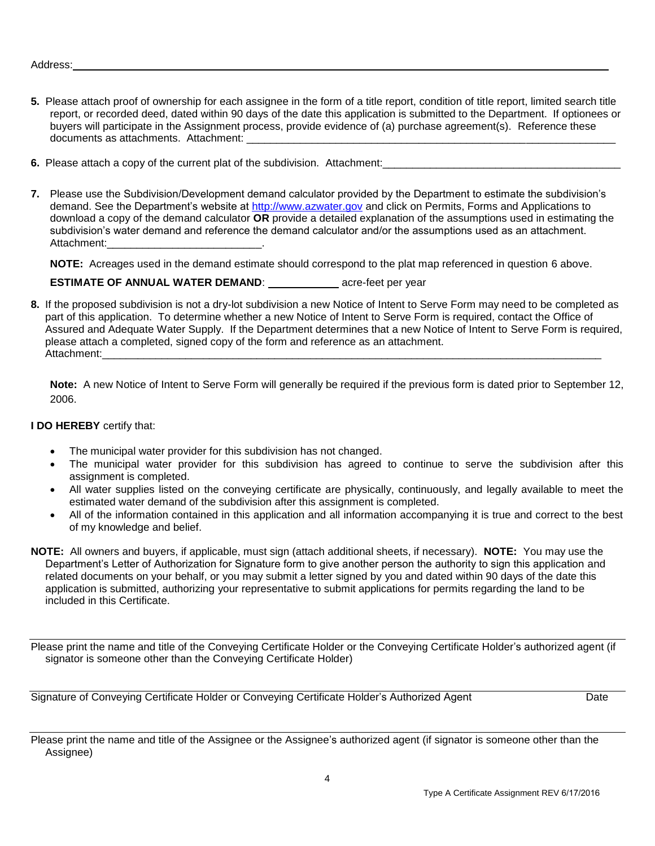#### Address:

- **5.** Please attach proof of ownership for each assignee in the form of a title report, condition of title report, limited search title report, or recorded deed, dated within 90 days of the date this application is submitted to the Department. If optionees or buyers will participate in the Assignment process, provide evidence of (a) purchase agreement(s). Reference these documents as attachments. Attachment:
- **6.** Please attach a copy of the current plat of the subdivision. Attachment:
- **7.** Please use the Subdivision/Development demand calculator provided by the Department to estimate the subdivision's demand. See the Department's website at [http://www.azwater.gov](http://www.azwater.gov/) and click on Permits, Forms and Applications to download a copy of the demand calculator **OR** provide a detailed explanation of the assumptions used in estimating the subdivision's water demand and reference the demand calculator and/or the assumptions used as an attachment. Attachment:

**NOTE:** Acreages used in the demand estimate should correspond to the plat map referenced in question 6 above.

**ESTIMATE OF ANNUAL WATER DEMAND:** acre-feet per year

**8.** If the proposed subdivision is not a dry-lot subdivision a new Notice of Intent to Serve Form may need to be completed as part of this application. To determine whether a new Notice of Intent to Serve Form is required, contact the Office of Assured and Adequate Water Supply. If the Department determines that a new Notice of Intent to Serve Form is required, please attach a completed, signed copy of the form and reference as an attachment. Attachment:

**Note:** A new Notice of Intent to Serve Form will generally be required if the previous form is dated prior to September 12, 2006.

### **I DO HEREBY** certify that:

- The municipal water provider for this subdivision has not changed.
- The municipal water provider for this subdivision has agreed to continue to serve the subdivision after this assignment is completed.
- All water supplies listed on the conveying certificate are physically, continuously, and legally available to meet the estimated water demand of the subdivision after this assignment is completed.
- All of the information contained in this application and all information accompanying it is true and correct to the best of my knowledge and belief.
- **NOTE:** All owners and buyers, if applicable, must sign (attach additional sheets, if necessary). **NOTE:** You may use the Department's Letter of Authorization for Signature form to give another person the authority to sign this application and related documents on your behalf, or you may submit a letter signed by you and dated within 90 days of the date this application is submitted, authorizing your representative to submit applications for permits regarding the land to be included in this Certificate.

Please print the name and title of the Conveying Certificate Holder or the Conveying Certificate Holder's authorized agent (if signator is someone other than the Conveying Certificate Holder)

Signature of Conveying Certificate Holder or Conveying Certificate Holder's Authorized Agent Date

Please print the name and title of the Assignee or the Assignee's authorized agent (if signator is someone other than the Assignee)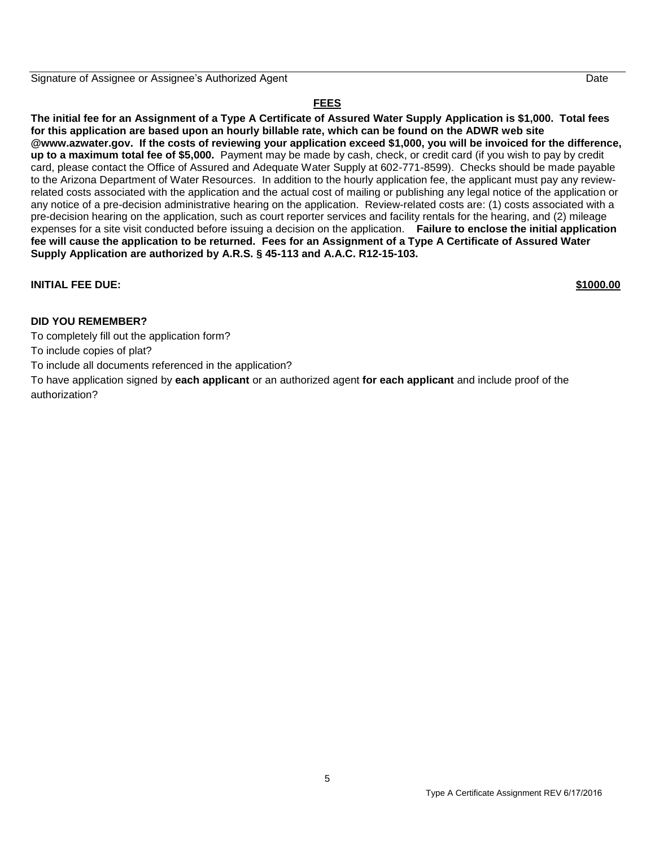Signature of Assignee or Assignee's Authorized Agent Date

### **FEES**

**The initial fee for an Assignment of a Type A Certificate of Assured Water Supply Application is \$1,000. Total fees for this application are based upon an hourly billable rate, which can be found on the ADWR web site @www.azwater.gov. If the costs of reviewing your application exceed \$1,000, you will be invoiced for the difference, up to a maximum total fee of \$5,000.** Payment may be made by cash, check, or credit card (if you wish to pay by credit card, please contact the Office of Assured and Adequate Water Supply at 602-771-8599). Checks should be made payable to the Arizona Department of Water Resources. In addition to the hourly application fee, the applicant must pay any reviewrelated costs associated with the application and the actual cost of mailing or publishing any legal notice of the application or any notice of a pre-decision administrative hearing on the application. Review-related costs are: (1) costs associated with a pre-decision hearing on the application, such as court reporter services and facility rentals for the hearing, and (2) mileage expenses for a site visit conducted before issuing a decision on the application. **Failure to enclose the initial application fee will cause the application to be returned. Fees for an Assignment of a Type A Certificate of Assured Water Supply Application are authorized by A.R.S. § 45-113 and A.A.C. R12-15-103.** 

### **INITIAL FEE DUE: \$1000.00**

### **DID YOU REMEMBER?**

To completely fill out the application form?

To include copies of plat?

To include all documents referenced in the application?

To have application signed by **each applicant** or an authorized agent **for each applicant** and include proof of the authorization?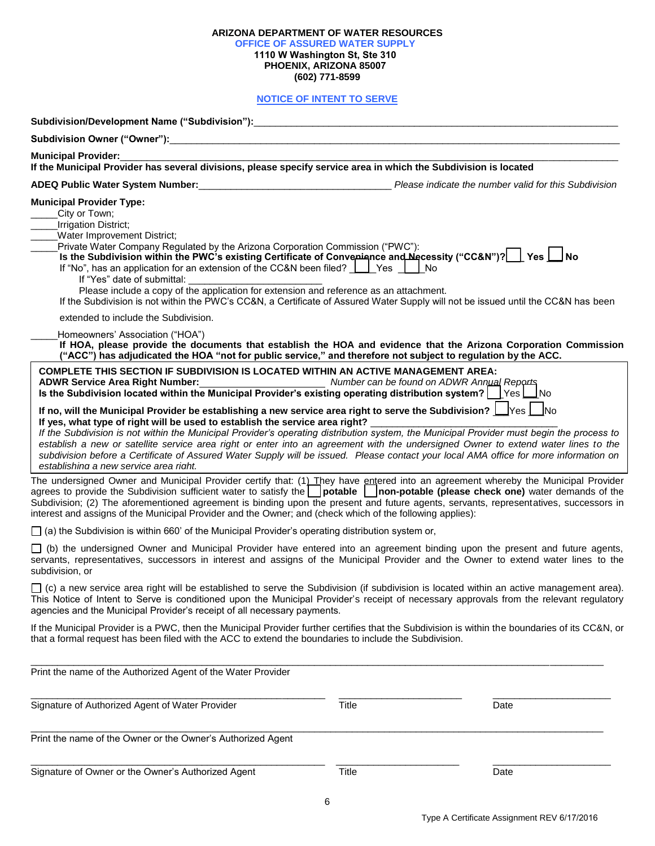|                                                                                                                                                                                                                                                                                                                                                                                                                                                                                                                                                                                                                                                                                                                                                                                                                                                                                                                                                                                                                                                                                                                                                                                                                                                                                                                                                                                                                                                                                                                                                                                                                                                                                                                                                                                                                                                                                                                                                                                      | <b>OFFICE OF ASSURED WATER SUPPLY</b><br>1110 W Washington St, Ste 310<br>PHOENIX, ARIZONA 85007<br>(602) 771-8599 |      |
|--------------------------------------------------------------------------------------------------------------------------------------------------------------------------------------------------------------------------------------------------------------------------------------------------------------------------------------------------------------------------------------------------------------------------------------------------------------------------------------------------------------------------------------------------------------------------------------------------------------------------------------------------------------------------------------------------------------------------------------------------------------------------------------------------------------------------------------------------------------------------------------------------------------------------------------------------------------------------------------------------------------------------------------------------------------------------------------------------------------------------------------------------------------------------------------------------------------------------------------------------------------------------------------------------------------------------------------------------------------------------------------------------------------------------------------------------------------------------------------------------------------------------------------------------------------------------------------------------------------------------------------------------------------------------------------------------------------------------------------------------------------------------------------------------------------------------------------------------------------------------------------------------------------------------------------------------------------------------------------|--------------------------------------------------------------------------------------------------------------------|------|
|                                                                                                                                                                                                                                                                                                                                                                                                                                                                                                                                                                                                                                                                                                                                                                                                                                                                                                                                                                                                                                                                                                                                                                                                                                                                                                                                                                                                                                                                                                                                                                                                                                                                                                                                                                                                                                                                                                                                                                                      | <b>NOTICE OF INTENT TO SERVE</b>                                                                                   |      |
|                                                                                                                                                                                                                                                                                                                                                                                                                                                                                                                                                                                                                                                                                                                                                                                                                                                                                                                                                                                                                                                                                                                                                                                                                                                                                                                                                                                                                                                                                                                                                                                                                                                                                                                                                                                                                                                                                                                                                                                      |                                                                                                                    |      |
|                                                                                                                                                                                                                                                                                                                                                                                                                                                                                                                                                                                                                                                                                                                                                                                                                                                                                                                                                                                                                                                                                                                                                                                                                                                                                                                                                                                                                                                                                                                                                                                                                                                                                                                                                                                                                                                                                                                                                                                      |                                                                                                                    |      |
| Municipal Provider:<br>If the Municipal Provider has several divisions, please specify service area in which the Subdivision is located                                                                                                                                                                                                                                                                                                                                                                                                                                                                                                                                                                                                                                                                                                                                                                                                                                                                                                                                                                                                                                                                                                                                                                                                                                                                                                                                                                                                                                                                                                                                                                                                                                                                                                                                                                                                                                              |                                                                                                                    |      |
| ADEQ Public Water System Number:<br><u>ADEQ Public Water System Number: ________________________</u> Please indicate the number valid for this Subdivision                                                                                                                                                                                                                                                                                                                                                                                                                                                                                                                                                                                                                                                                                                                                                                                                                                                                                                                                                                                                                                                                                                                                                                                                                                                                                                                                                                                                                                                                                                                                                                                                                                                                                                                                                                                                                           |                                                                                                                    |      |
| <b>Municipal Provider Type:</b><br>City or Town;<br>Irrigation District;<br><b>Water Improvement District;</b><br>Private Water Company Regulated by the Arizona Corporation Commission ("PWC"):<br>Is the Subdivision within the PWC's existing Certificate of Converience and Necessity ("CC&N")?   Yes   No<br>If "No", has an application for an extension of the CC&N been filed? $\Box$ Yes $\Box$ No<br>If "Yes" date of submittal:<br>Please include a copy of the application for extension and reference as an attachment.<br>If the Subdivision is not within the PWC's CC&N, a Certificate of Assured Water Supply will not be issued until the CC&N has been<br>extended to include the Subdivision.<br>Homeowners' Association ("HOA")<br>If HOA, please provide the documents that establish the HOA and evidence that the Arizona Corporation Commission<br>("ACC") has adjudicated the HOA "not for public service," and therefore not subject to regulation by the ACC.<br><b>COMPLETE THIS SECTION IF SUBDIVISION IS LOCATED WITHIN AN ACTIVE MANAGEMENT AREA:</b><br>ADWR Service Area Right Number: __________________________________ Number can be found on ADWR Annual Reperts<br>Is the Subdivision located within the Municipal Provider's existing operating distribution system?   $\sqrt{1 + \frac{1}{1}}$ No<br>If no, will the Municipal Provider be establishing a new service area right to serve the Subdivision? $\Box$ Yes $\Box$ No<br>If yes, what type of right will be used to establish the service area right?<br>If the Subdivision is not within the Municipal Provider's operating distribution system, the Municipal Provider must begin the process to<br>establish a new or satellite service area right or enter into an agreement with the undersigned Owner to extend water lines to the<br>subdivision before a Certificate of Assured Water Supply will be issued. Please contact your local AMA office for more information on |                                                                                                                    |      |
| establishing a new service area right.<br>The undersigned Owner and Municipal Provider certify that: (1) They have entered into an agreement whereby the Municipal Provider<br>agrees to provide the Subdivision sufficient water to satisfy the potable non-potable (please check one) water demands of the<br>Subdivision; (2) The aforementioned agreement is binding upon the present and future agents, servants, representatives, successors in<br>interest and assigns of the Municipal Provider and the Owner; and (check which of the following applies):                                                                                                                                                                                                                                                                                                                                                                                                                                                                                                                                                                                                                                                                                                                                                                                                                                                                                                                                                                                                                                                                                                                                                                                                                                                                                                                                                                                                                   |                                                                                                                    |      |
| $\Box$ (a) the Subdivision is within 660' of the Municipal Provider's operating distribution system or,                                                                                                                                                                                                                                                                                                                                                                                                                                                                                                                                                                                                                                                                                                                                                                                                                                                                                                                                                                                                                                                                                                                                                                                                                                                                                                                                                                                                                                                                                                                                                                                                                                                                                                                                                                                                                                                                              |                                                                                                                    |      |
| $\Box$ (b) the undersigned Owner and Municipal Provider have entered into an agreement binding upon the present and future agents,<br>servants, representatives, successors in interest and assigns of the Municipal Provider and the Owner to extend water lines to the<br>subdivision, or                                                                                                                                                                                                                                                                                                                                                                                                                                                                                                                                                                                                                                                                                                                                                                                                                                                                                                                                                                                                                                                                                                                                                                                                                                                                                                                                                                                                                                                                                                                                                                                                                                                                                          |                                                                                                                    |      |
| $\Box$ (c) a new service area right will be established to serve the Subdivision (if subdivision is located within an active management area).<br>This Notice of Intent to Serve is conditioned upon the Municipal Provider's receipt of necessary approvals from the relevant regulatory<br>agencies and the Municipal Provider's receipt of all necessary payments.                                                                                                                                                                                                                                                                                                                                                                                                                                                                                                                                                                                                                                                                                                                                                                                                                                                                                                                                                                                                                                                                                                                                                                                                                                                                                                                                                                                                                                                                                                                                                                                                                |                                                                                                                    |      |
| If the Municipal Provider is a PWC, then the Municipal Provider further certifies that the Subdivision is within the boundaries of its CC&N, or<br>that a formal request has been filed with the ACC to extend the boundaries to include the Subdivision.                                                                                                                                                                                                                                                                                                                                                                                                                                                                                                                                                                                                                                                                                                                                                                                                                                                                                                                                                                                                                                                                                                                                                                                                                                                                                                                                                                                                                                                                                                                                                                                                                                                                                                                            |                                                                                                                    |      |
| Print the name of the Authorized Agent of the Water Provider                                                                                                                                                                                                                                                                                                                                                                                                                                                                                                                                                                                                                                                                                                                                                                                                                                                                                                                                                                                                                                                                                                                                                                                                                                                                                                                                                                                                                                                                                                                                                                                                                                                                                                                                                                                                                                                                                                                         |                                                                                                                    |      |
| Signature of Authorized Agent of Water Provider                                                                                                                                                                                                                                                                                                                                                                                                                                                                                                                                                                                                                                                                                                                                                                                                                                                                                                                                                                                                                                                                                                                                                                                                                                                                                                                                                                                                                                                                                                                                                                                                                                                                                                                                                                                                                                                                                                                                      | Title                                                                                                              | Date |
| Print the name of the Owner or the Owner's Authorized Agent                                                                                                                                                                                                                                                                                                                                                                                                                                                                                                                                                                                                                                                                                                                                                                                                                                                                                                                                                                                                                                                                                                                                                                                                                                                                                                                                                                                                                                                                                                                                                                                                                                                                                                                                                                                                                                                                                                                          |                                                                                                                    |      |
| Signature of Owner or the Owner's Authorized Agent                                                                                                                                                                                                                                                                                                                                                                                                                                                                                                                                                                                                                                                                                                                                                                                                                                                                                                                                                                                                                                                                                                                                                                                                                                                                                                                                                                                                                                                                                                                                                                                                                                                                                                                                                                                                                                                                                                                                   | Title                                                                                                              | Date |

**ARIZONA DEPARTMENT OF WATER RESOURCES**